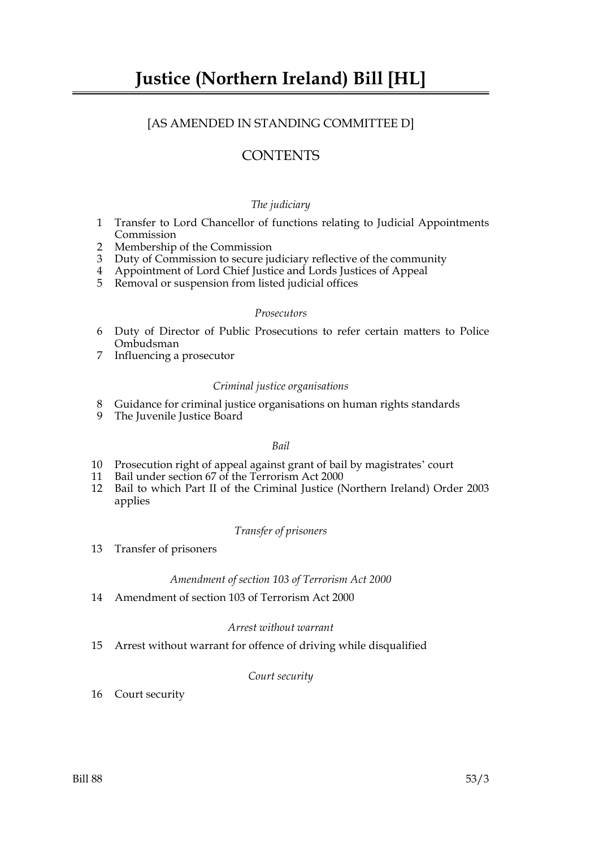# [AS AMENDED IN STANDING COMMITTEE D]

# **CONTENTS**

# *The judiciary*

- 1 Transfer to Lord Chancellor of functions relating to Judicial Appointments Commission
- 2 Membership of the Commission
- 3 Duty of Commission to secure judiciary reflective of the community
- 4 Appointment of Lord Chief Justice and Lords Justices of Appeal
- 5 Removal or suspension from listed judicial offices

#### *Prosecutors*

- 6 Duty of Director of Public Prosecutions to refer certain matters to Police Ombudsman
- 7 Influencing a prosecutor

# *Criminal justice organisations*

- 8 Guidance for criminal justice organisations on human rights standards
- 9 The Juvenile Justice Board

# *Bail*

- 10 Prosecution right of appeal against grant of bail by magistrates' court
- 11 Bail under section 67 of the Terrorism Act 2000
- 12 Bail to which Part II of the Criminal Justice (Northern Ireland) Order 2003 applies

# *Transfer of prisoners*

13 Transfer of prisoners

# *Amendment of section 103 of Terrorism Act 2000*

14 Amendment of section 103 of Terrorism Act 2000

# *Arrest without warrant*

15 Arrest without warrant for offence of driving while disqualified

# *Court security*

16 Court security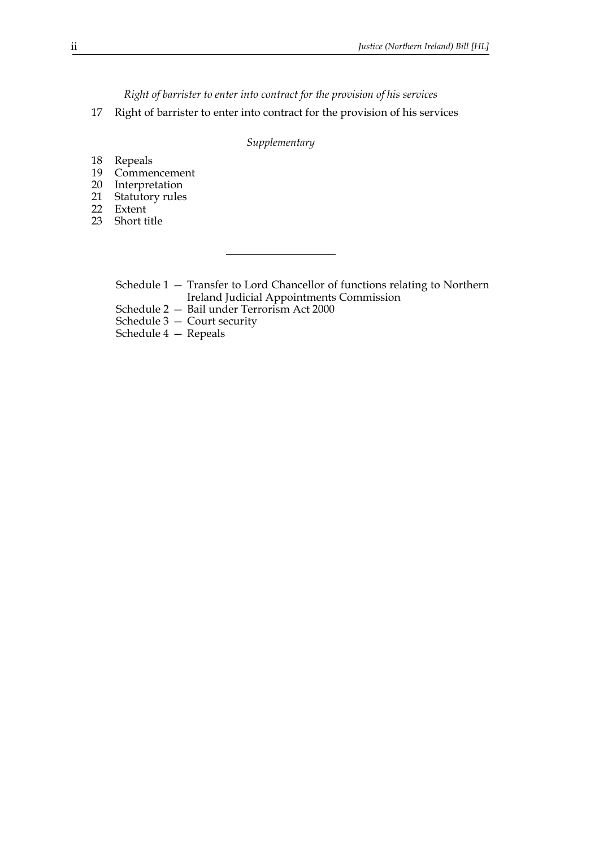*Right of barrister to enter into contract for the provision of his services*

17 Right of barrister to enter into contract for the provision of his services

# *Supplementary*

- 18 Repeals
- 19 Commencement
- 20 Interpretation
- Statutory rules 21 Statuto<br>22 Extent
- 
- 23 Short title

Schedule 1 — Transfer to Lord Chancellor of functions relating to Northern Ireland Judicial Appointments Commission

Schedule 2 — Bail under Terrorism Act 2000

Schedule 3 — Court security

Schedule 4 — Repeals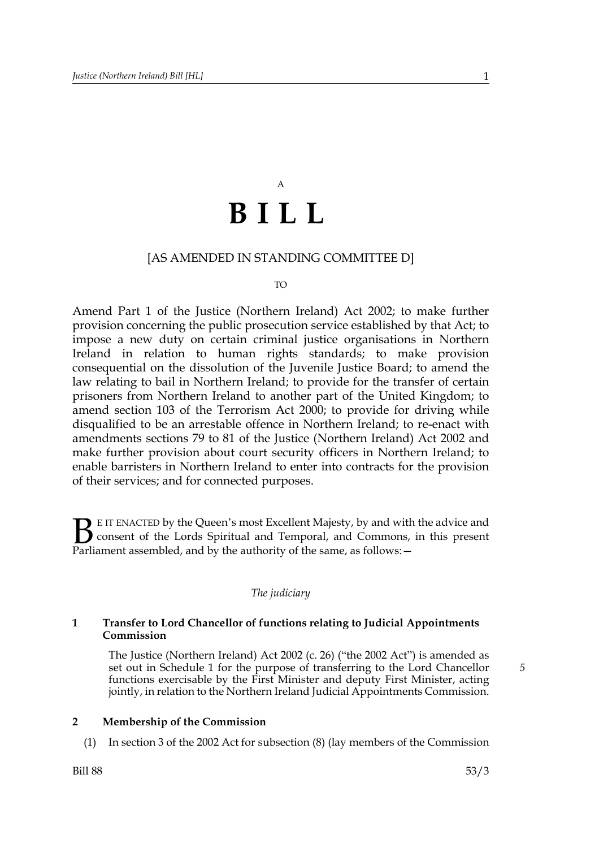# A **BILL**

# [AS AMENDED IN STANDING COMMITTEE D]

#### TO

Amend Part 1 of the Justice (Northern Ireland) Act 2002; to make further provision concerning the public prosecution service established by that Act; to impose a new duty on certain criminal justice organisations in Northern Ireland in relation to human rights standards; to make provision consequential on the dissolution of the Juvenile Justice Board; to amend the law relating to bail in Northern Ireland; to provide for the transfer of certain prisoners from Northern Ireland to another part of the United Kingdom; to amend section 103 of the Terrorism Act 2000; to provide for driving while disqualified to be an arrestable offence in Northern Ireland; to re-enact with amendments sections 79 to 81 of the Justice (Northern Ireland) Act 2002 and make further provision about court security officers in Northern Ireland; to enable barristers in Northern Ireland to enter into contracts for the provision of their services; and for connected purposes.

E IT ENACTED by the Queen's most Excellent Majesty, by and with the advice and consent of the Lords Spiritual and Temporal, and Commons, in this present Parliament assembled, and by the authority of the same, as follows: - $\mathbf{B}_{\text{rel}}$ 

#### *The judiciary*

# **1 Transfer to Lord Chancellor of functions relating to Judicial Appointments Commission**

The Justice (Northern Ireland) Act 2002 (c. 26) ("the 2002 Act") is amended as set out in Schedule 1 for the purpose of transferring to the Lord Chancellor functions exercisable by the First Minister and deputy First Minister, acting jointly, in relation to the Northern Ireland Judicial Appointments Commission.

# **2 Membership of the Commission**

(1) In section 3 of the 2002 Act for subsection (8) (lay members of the Commission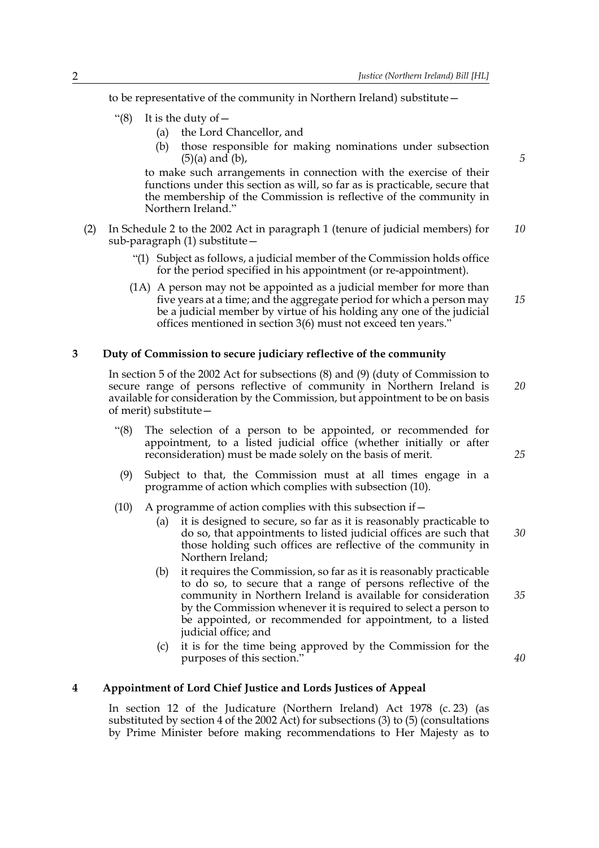to be representative of the community in Northern Ireland) substitute—

- "(8) It is the duty of  $-$ 
	- (a) the Lord Chancellor, and
	- (b) those responsible for making nominations under subsection (5)(a) and (b),

to make such arrangements in connection with the exercise of their functions under this section as will, so far as is practicable, secure that the membership of the Commission is reflective of the community in Northern Ireland."

- (2) In Schedule 2 to the 2002 Act in paragraph 1 (tenure of judicial members) for sub-paragraph (1) substitute— *10*
	- "(1) Subject as follows, a judicial member of the Commission holds office for the period specified in his appointment (or re-appointment).
	- (1A) A person may not be appointed as a judicial member for more than five years at a time; and the aggregate period for which a person may be a judicial member by virtue of his holding any one of the judicial offices mentioned in section 3(6) must not exceed ten years."

#### **3 Duty of Commission to secure judiciary reflective of the community**

In section 5 of the 2002 Act for subsections (8) and (9) (duty of Commission to secure range of persons reflective of community in Northern Ireland is available for consideration by the Commission, but appointment to be on basis of merit) substitute—

- "(8) The selection of a person to be appointed, or recommended for appointment, to a listed judicial office (whether initially or after reconsideration) must be made solely on the basis of merit.
- (9) Subject to that, the Commission must at all times engage in a programme of action which complies with subsection (10).
- (10) A programme of action complies with this subsection if  $-$ 
	- (a) it is designed to secure, so far as it is reasonably practicable to do so, that appointments to listed judicial offices are such that those holding such offices are reflective of the community in Northern Ireland;
	- (b) it requires the Commission, so far as it is reasonably practicable to do so, to secure that a range of persons reflective of the community in Northern Ireland is available for consideration by the Commission whenever it is required to select a person to be appointed, or recommended for appointment, to a listed judicial office; and
	- (c) it is for the time being approved by the Commission for the purposes of this section."

# **4 Appointment of Lord Chief Justice and Lords Justices of Appeal**

In section 12 of the Judicature (Northern Ireland) Act 1978 (c. 23) (as substituted by section 4 of the 2002 Act) for subsections (3) to (5) (consultations by Prime Minister before making recommendations to Her Majesty as to *25*

*30*

*20*

*5*

*15*

*40*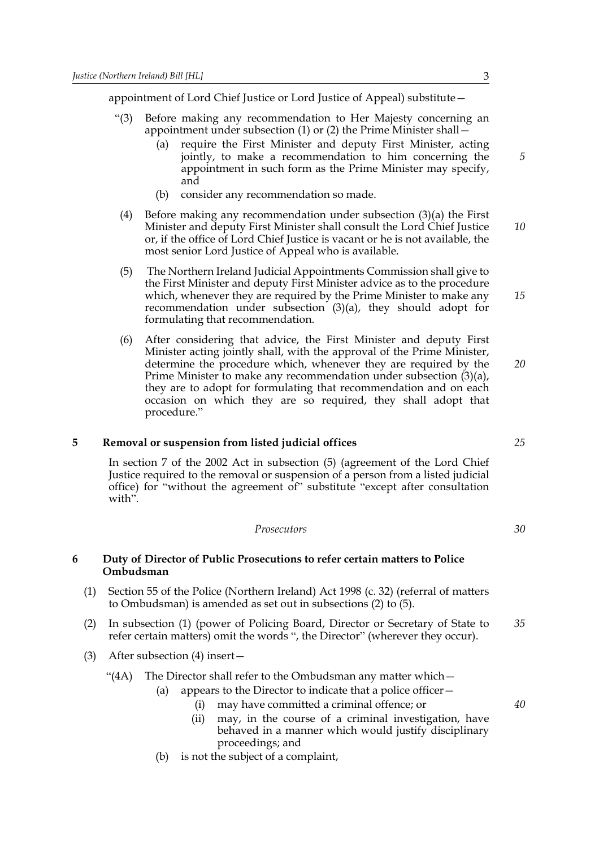appointment of Lord Chief Justice or Lord Justice of Appeal) substitute—

- "(3) Before making any recommendation to Her Majesty concerning an appointment under subsection (1) or (2) the Prime Minister shall—
	- (a) require the First Minister and deputy First Minister, acting jointly, to make a recommendation to him concerning the appointment in such form as the Prime Minister may specify, and
	- (b) consider any recommendation so made.
- (4) Before making any recommendation under subsection (3)(a) the First Minister and deputy First Minister shall consult the Lord Chief Justice or, if the office of Lord Chief Justice is vacant or he is not available, the most senior Lord Justice of Appeal who is available. *10*
- (5) The Northern Ireland Judicial Appointments Commission shall give to the First Minister and deputy First Minister advice as to the procedure which, whenever they are required by the Prime Minister to make any recommendation under subsection (3)(a), they should adopt for formulating that recommendation.
- (6) After considering that advice, the First Minister and deputy First Minister acting jointly shall, with the approval of the Prime Minister, determine the procedure which, whenever they are required by the Prime Minister to make any recommendation under subsection (3)(a), they are to adopt for formulating that recommendation and on each occasion on which they are so required, they shall adopt that procedure."

#### **5 Removal or suspension from listed judicial offices**

In section 7 of the 2002 Act in subsection (5) (agreement of the Lord Chief Justice required to the removal or suspension of a person from a listed judicial office) for "without the agreement of" substitute "except after consultation with".

*Prosecutors*

#### **6 Duty of Director of Public Prosecutions to refer certain matters to Police Ombudsman**

- (1) Section 55 of the Police (Northern Ireland) Act 1998 (c. 32) (referral of matters to Ombudsman) is amended as set out in subsections (2) to (5).
- (2) In subsection (1) (power of Policing Board, Director or Secretary of State to refer certain matters) omit the words ", the Director" (wherever they occur). *35*
- (3) After subsection (4) insert—

"(4A) The Director shall refer to the Ombudsman any matter which—

- (a) appears to the Director to indicate that a police officer  $-$ 
	- (i) may have committed a criminal offence; or
	- (ii) may, in the course of a criminal investigation, have behaved in a manner which would justify disciplinary proceedings; and
- (b) is not the subject of a complaint,

*5*

*15*

*20*

*25*

*30*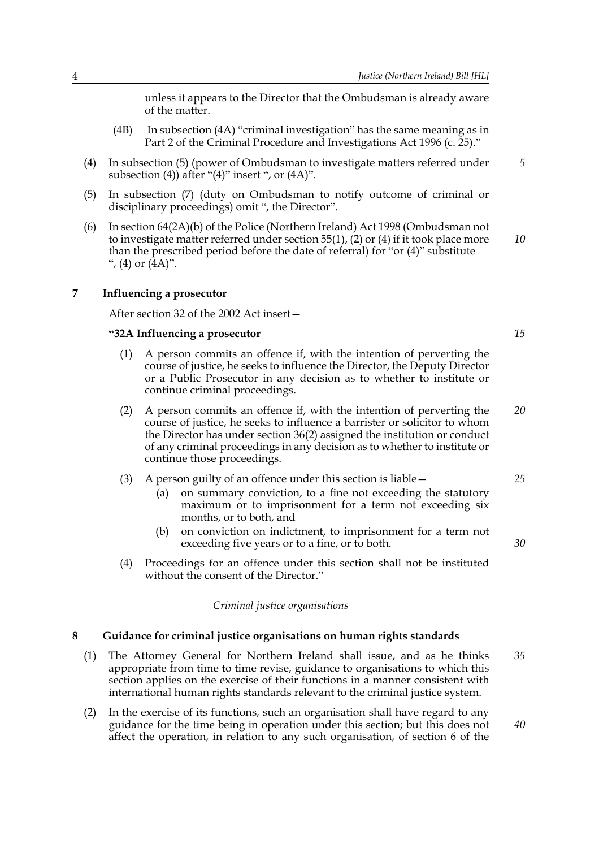unless it appears to the Director that the Ombudsman is already aware of the matter.

- (4B) In subsection (4A) "criminal investigation" has the same meaning as in Part 2 of the Criminal Procedure and Investigations Act 1996 (c. 25)."
- (4) In subsection (5) (power of Ombudsman to investigate matters referred under subsection (4)) after " $(4)$ " insert ", or  $(4A)$ ".
- (5) In subsection (7) (duty on Ombudsman to notify outcome of criminal or disciplinary proceedings) omit ", the Director".
- (6) In section 64(2A)(b) of the Police (Northern Ireland) Act 1998 (Ombudsman not to investigate matter referred under section 55(1), (2) or (4) if it took place more than the prescribed period before the date of referral) for "or (4)" substitute ", (4) or  $(4A)$ ". *10*

# **7 Influencing a prosecutor**

After section 32 of the 2002 Act insert—

#### **"32A Influencing a prosecutor**

- (1) A person commits an offence if, with the intention of perverting the course of justice, he seeks to influence the Director, the Deputy Director or a Public Prosecutor in any decision as to whether to institute or continue criminal proceedings.
- (2) A person commits an offence if, with the intention of perverting the course of justice, he seeks to influence a barrister or solicitor to whom the Director has under section 36(2) assigned the institution or conduct of any criminal proceedings in any decision as to whether to institute or continue those proceedings. *20*

#### (3) A person guilty of an offence under this section is liable—

- (a) on summary conviction, to a fine not exceeding the statutory maximum or to imprisonment for a term not exceeding six months, or to both, and
- (b) on conviction on indictment, to imprisonment for a term not exceeding five years or to a fine, or to both.
- (4) Proceedings for an offence under this section shall not be instituted without the consent of the Director."

#### *Criminal justice organisations*

#### **8 Guidance for criminal justice organisations on human rights standards**

- (1) The Attorney General for Northern Ireland shall issue, and as he thinks appropriate from time to time revise, guidance to organisations to which this section applies on the exercise of their functions in a manner consistent with international human rights standards relevant to the criminal justice system. *35*
- (2) In the exercise of its functions, such an organisation shall have regard to any guidance for the time being in operation under this section; but this does not affect the operation, in relation to any such organisation, of section 6 of the

*15*

*25*

*30*

*40*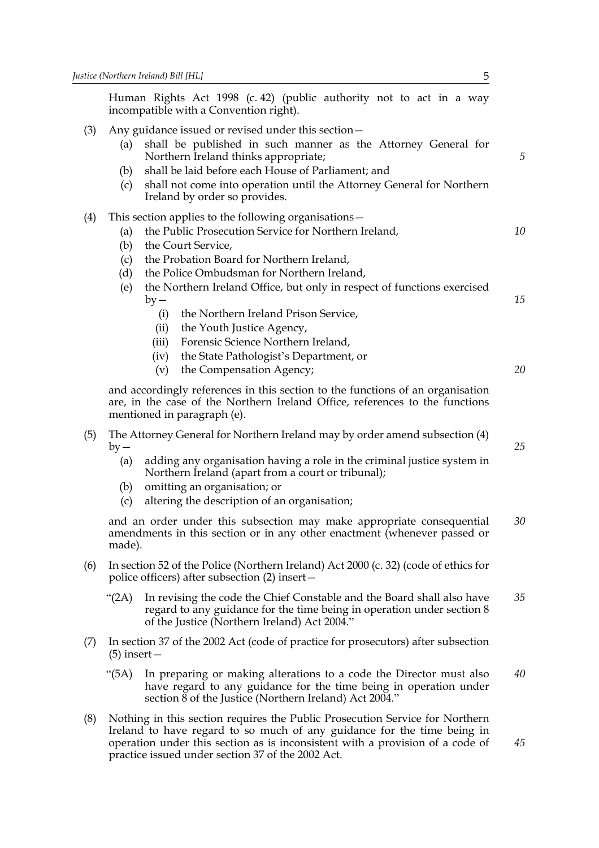Human Rights Act 1998 (c. 42) (public authority not to act in a way incompatible with a Convention right).

# (3) Any guidance issued or revised under this section—

- (a) shall be published in such manner as the Attorney General for Northern Ireland thinks appropriate;
- (b) shall be laid before each House of Parliament; and
- (c) shall not come into operation until the Attorney General for Northern Ireland by order so provides.

#### (4) This section applies to the following organisations—

- (a) the Public Prosecution Service for Northern Ireland,
- (b) the Court Service,
- (c) the Probation Board for Northern Ireland,
- (d) the Police Ombudsman for Northern Ireland,
- (e) the Northern Ireland Office, but only in respect of functions exercised  $by -$ 
	- (i) the Northern Ireland Prison Service,
	- (ii) the Youth Justice Agency,
	- (iii) Forensic Science Northern Ireland,
	- (iv) the State Pathologist's Department, or
	- (v) the Compensation Agency;

and accordingly references in this section to the functions of an organisation are, in the case of the Northern Ireland Office, references to the functions mentioned in paragraph (e).

- (5) The Attorney General for Northern Ireland may by order amend subsection (4)  $by -$ 
	- (a) adding any organisation having a role in the criminal justice system in Northern Ireland (apart from a court or tribunal);
	- (b) omitting an organisation; or
	- (c) altering the description of an organisation;

and an order under this subsection may make appropriate consequential amendments in this section or in any other enactment (whenever passed or made). *30*

- (6) In section 52 of the Police (Northern Ireland) Act 2000 (c. 32) (code of ethics for police officers) after subsection (2) insert—
	- "(2A) In revising the code the Chief Constable and the Board shall also have regard to any guidance for the time being in operation under section 8 of the Justice (Northern Ireland) Act 2004." *35*
- (7) In section 37 of the 2002 Act (code of practice for prosecutors) after subsection (5) insert—
	- "(5A) In preparing or making alterations to a code the Director must also have regard to any guidance for the time being in operation under section 8 of the Justice (Northern Ireland) Act 2004." *40*
- (8) Nothing in this section requires the Public Prosecution Service for Northern Ireland to have regard to so much of any guidance for the time being in operation under this section as is inconsistent with a provision of a code of practice issued under section 37 of the 2002 Act.

*25*

*45*

*5*

*10*

*15*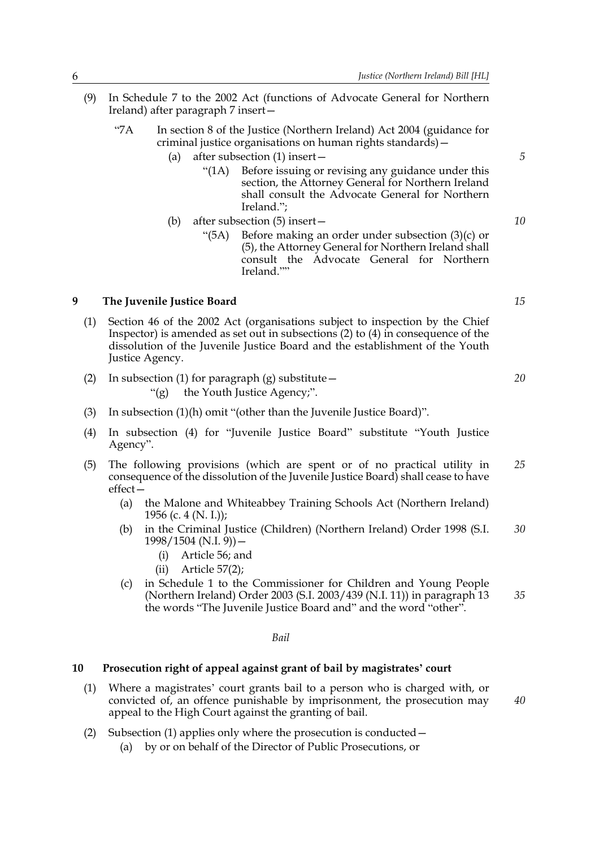- (9) In Schedule 7 to the 2002 Act (functions of Advocate General for Northern Ireland) after paragraph 7 insert—
	- "7A In section 8 of the Justice (Northern Ireland) Act 2004 (guidance for criminal justice organisations on human rights standards)—
		- (a) after subsection (1) insert—
			- "(1A) Before issuing or revising any guidance under this section, the Attorney General for Northern Ireland shall consult the Advocate General for Northern Ireland.";
		- (b) after subsection (5) insert— "(5A) Before making an order under subsection (3)(c) or (5), the Attorney General for Northern Ireland shall consult the Advocate General for Northern Ireland.""

#### **9 The Juvenile Justice Board**

- (1) Section 46 of the 2002 Act (organisations subject to inspection by the Chief Inspector) is amended as set out in subsections (2) to (4) in consequence of the dissolution of the Juvenile Justice Board and the establishment of the Youth Justice Agency.
- (2) In subsection (1) for paragraph (g) substitute  $-$ "(g) the Youth Justice Agency;".
- (3) In subsection (1)(h) omit "(other than the Juvenile Justice Board)".
- (4) In subsection (4) for "Juvenile Justice Board" substitute "Youth Justice Agency".
- (5) The following provisions (which are spent or of no practical utility in consequence of the dissolution of the Juvenile Justice Board) shall cease to have effect— *25*
	- (a) the Malone and Whiteabbey Training Schools Act (Northern Ireland) 1956 (c. 4 (N. I.));
	- (b) in the Criminal Justice (Children) (Northern Ireland) Order 1998 (S.I.  $1998/1504$  (N.I. 9)) – *30*
		- (i) Article 56; and
		- (ii) Article 57(2);
	- (c) in Schedule 1 to the Commissioner for Children and Young People (Northern Ireland) Order 2003 (S.I. 2003/439 (N.I. 11)) in paragraph 13 the words "The Juvenile Justice Board and" and the word "other".

*Bail*

### **10 Prosecution right of appeal against grant of bail by magistrates' court**

- (1) Where a magistrates' court grants bail to a person who is charged with, or convicted of, an offence punishable by imprisonment, the prosecution may appeal to the High Court against the granting of bail.
- (2) Subsection (1) applies only where the prosecution is conducted—
	- (a) by or on behalf of the Director of Public Prosecutions, or

*15*

*5*

*10*

*20*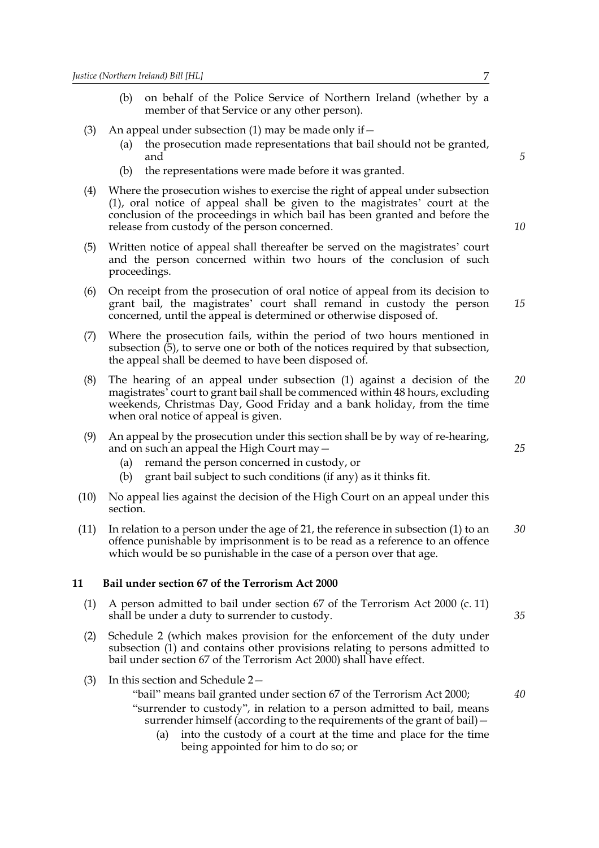- (b) on behalf of the Police Service of Northern Ireland (whether by a member of that Service or any other person).
- (3) An appeal under subsection (1) may be made only if  $-$ 
	- (a) the prosecution made representations that bail should not be granted, and
	- (b) the representations were made before it was granted.
- (4) Where the prosecution wishes to exercise the right of appeal under subsection (1), oral notice of appeal shall be given to the magistrates' court at the conclusion of the proceedings in which bail has been granted and before the release from custody of the person concerned.
- (5) Written notice of appeal shall thereafter be served on the magistrates' court and the person concerned within two hours of the conclusion of such proceedings.
- (6) On receipt from the prosecution of oral notice of appeal from its decision to grant bail, the magistrates' court shall remand in custody the person concerned, until the appeal is determined or otherwise disposed of. *15*
- (7) Where the prosecution fails, within the period of two hours mentioned in subsection (5), to serve one or both of the notices required by that subsection, the appeal shall be deemed to have been disposed of.
- (8) The hearing of an appeal under subsection (1) against a decision of the magistrates' court to grant bail shall be commenced within 48 hours, excluding weekends, Christmas Day, Good Friday and a bank holiday, from the time when oral notice of appeal is given. *20*
- (9) An appeal by the prosecution under this section shall be by way of re-hearing, and on such an appeal the High Court may—
	- (a) remand the person concerned in custody, or
	- (b) grant bail subject to such conditions (if any) as it thinks fit.
- (10) No appeal lies against the decision of the High Court on an appeal under this section.
- (11) In relation to a person under the age of 21, the reference in subsection (1) to an offence punishable by imprisonment is to be read as a reference to an offence which would be so punishable in the case of a person over that age. *30*

#### **11 Bail under section 67 of the Terrorism Act 2000**

- (1) A person admitted to bail under section 67 of the Terrorism Act 2000 (c. 11) shall be under a duty to surrender to custody.
- (2) Schedule 2 (which makes provision for the enforcement of the duty under subsection (1) and contains other provisions relating to persons admitted to bail under section 67 of the Terrorism Act 2000) shall have effect.
- (3) In this section and Schedule 2—

"bail" means bail granted under section 67 of the Terrorism Act 2000; "surrender to custody", in relation to a person admitted to bail, means surrender himself (according to the requirements of the grant of bail) -

(a) into the custody of a court at the time and place for the time being appointed for him to do so; or

*5*

*10*

*25*

*35*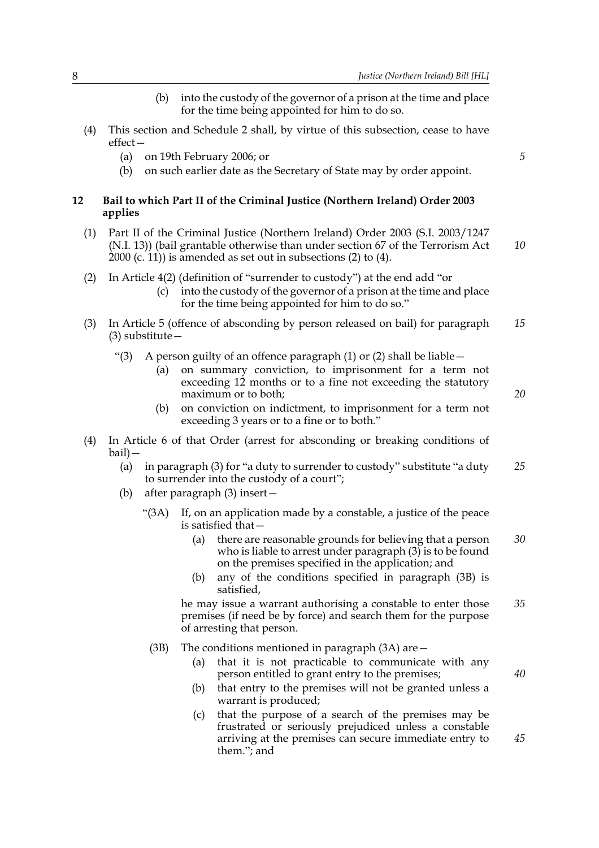(b) into the custody of the governor of a prison at the time and place for the time being appointed for him to do so. (4) This section and Schedule 2 shall, by virtue of this subsection, cease to have effect— (a) on 19th February 2006; or (b) on such earlier date as the Secretary of State may by order appoint. **12 Bail to which Part II of the Criminal Justice (Northern Ireland) Order 2003 applies** (1) Part II of the Criminal Justice (Northern Ireland) Order 2003 (S.I. 2003/1247 (N.I. 13)) (bail grantable otherwise than under section 67 of the Terrorism Act 2000 (c. 11)) is amended as set out in subsections (2) to (4). (2) In Article 4(2) (definition of "surrender to custody") at the end add "or (c) into the custody of the governor of a prison at the time and place for the time being appointed for him to do so." (3) In Article 5 (offence of absconding by person released on bail) for paragraph (3) substitute— "(3) A person guilty of an offence paragraph (1) or (2) shall be liable  $-$ (a) on summary conviction, to imprisonment for a term not exceeding 12 months or to a fine not exceeding the statutory maximum or to both; (b) on conviction on indictment, to imprisonment for a term not exceeding 3 years or to a fine or to both." (4) In Article 6 of that Order (arrest for absconding or breaking conditions of bail)— (a) in paragraph (3) for "a duty to surrender to custody" substitute "a duty to surrender into the custody of a court"; (b) after paragraph (3) insert— "(3A) If, on an application made by a constable, a justice of the peace is satisfied that— (a) there are reasonable grounds for believing that a person who is liable to arrest under paragraph  $(3)$  is to be found on the premises specified in the application; and (b) any of the conditions specified in paragraph (3B) is satisfied, he may issue a warrant authorising a constable to enter those premises (if need be by force) and search them for the purpose of arresting that person. (3B) The conditions mentioned in paragraph (3A) are— (a) that it is not practicable to communicate with any person entitled to grant entry to the premises; (b) that entry to the premises will not be granted unless a warrant is produced; (c) that the purpose of a search of the premises may be frustrated or seriously prejudiced unless a constable arriving at the premises can secure immediate entry to them."; and *5 10 15 20 25 30 35 40 45*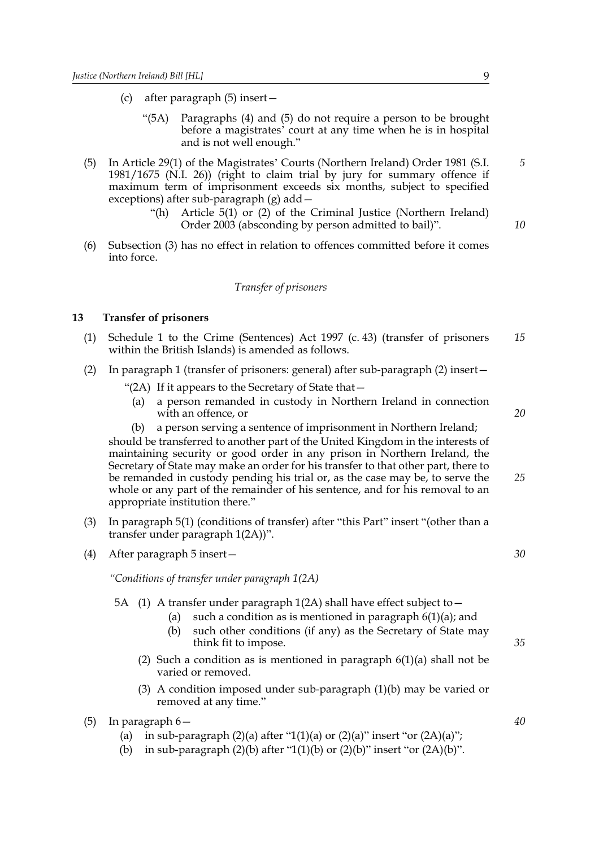- (c) after paragraph (5) insert—
	- "(5A) Paragraphs (4) and (5) do not require a person to be brought before a magistrates' court at any time when he is in hospital and is not well enough."
- (5) In Article 29(1) of the Magistrates' Courts (Northern Ireland) Order 1981 (S.I. 1981/1675 (N.I. 26)) (right to claim trial by jury for summary offence if maximum term of imprisonment exceeds six months, subject to specified exceptions) after sub-paragraph (g) add—
	- "(h) Article 5(1) or (2) of the Criminal Justice (Northern Ireland) Order 2003 (absconding by person admitted to bail)".
- (6) Subsection (3) has no effect in relation to offences committed before it comes into force.

#### *Transfer of prisoners*

# **13 Transfer of prisoners**

- (1) Schedule 1 to the Crime (Sentences) Act 1997 (c. 43) (transfer of prisoners within the British Islands) is amended as follows. *15*
- (2) In paragraph 1 (transfer of prisoners: general) after sub-paragraph (2) insert—
	- "(2A) If it appears to the Secretary of State that—
		- (a) a person remanded in custody in Northern Ireland in connection with an offence, or
		- (b) a person serving a sentence of imprisonment in Northern Ireland;

should be transferred to another part of the United Kingdom in the interests of maintaining security or good order in any prison in Northern Ireland, the Secretary of State may make an order for his transfer to that other part, there to be remanded in custody pending his trial or, as the case may be, to serve the whole or any part of the remainder of his sentence, and for his removal to an appropriate institution there."

- (3) In paragraph 5(1) (conditions of transfer) after "this Part" insert "(other than a transfer under paragraph 1(2A))".
- (4) After paragraph 5 insert—

*"Conditions of transfer under paragraph 1(2A)*

- 5A (1) A transfer under paragraph 1(2A) shall have effect subject to—
	- (a) such a condition as is mentioned in paragraph  $6(1)(a)$ ; and
	- (b) such other conditions (if any) as the Secretary of State may think fit to impose.
	- (2) Such a condition as is mentioned in paragraph  $6(1)(a)$  shall not be varied or removed.
	- (3) A condition imposed under sub-paragraph (1)(b) may be varied or removed at any time."
- (5) In paragraph 6—
	- (a) in sub-paragraph  $(2)(a)$  after "1(1)(a) or  $(2)(a)$ " insert "or  $(2A)(a)$ ";
	- (b) in sub-paragraph  $(2)(b)$  after "1(1)(b) or  $(2)(b)$ " insert "or  $(2A)(b)$ ".

*10*

*5*

*20*

*25*

*30*

*35*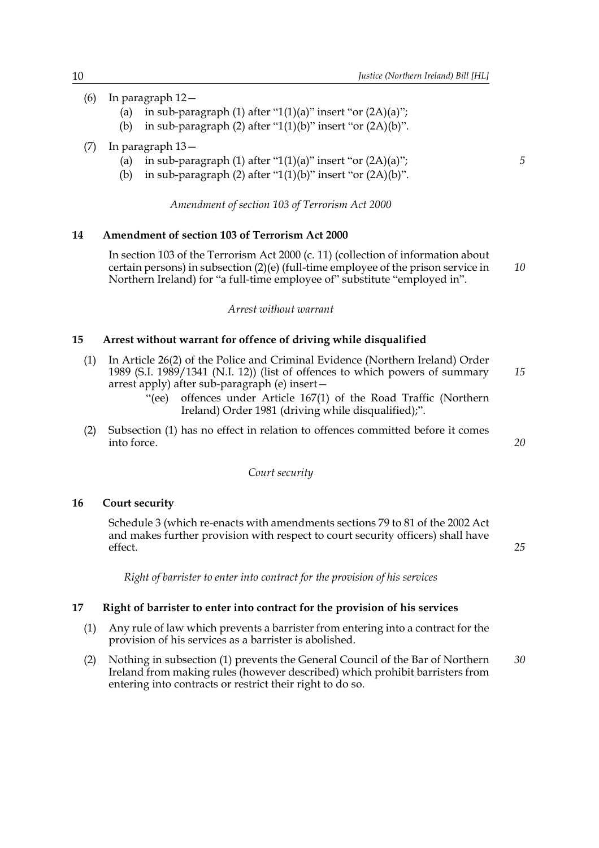- (6) In paragraph 12—
	- (a) in sub-paragraph (1) after "1(1)(a)" insert "or  $(2A)(a)$ ";
	- (b) in sub-paragraph (2) after " $1(1)(b)$ " insert "or  $(2A)(b)$ ".
- (7) In paragraph 13—
	- (a) in sub-paragraph  $(1)$  after "1 $(1)(a)$ " insert "or  $(2A)(a)$ ";
	- (b) in sub-paragraph (2) after " $1(1)(b)$ " insert "or  $(2A)(b)$ ".

*Amendment of section 103 of Terrorism Act 2000*

#### **14 Amendment of section 103 of Terrorism Act 2000**

In section 103 of the Terrorism Act 2000 (c. 11) (collection of information about certain persons) in subsection (2)(e) (full-time employee of the prison service in Northern Ireland) for "a full-time employee of" substitute "employed in". *10*

#### *Arrest without warrant*

#### **15 Arrest without warrant for offence of driving while disqualified**

- (1) In Article 26(2) of the Police and Criminal Evidence (Northern Ireland) Order 1989 (S.I. 1989/1341 (N.I. 12)) (list of offences to which powers of summary arrest apply) after sub-paragraph (e) insert— *15*
	- "(ee) offences under Article 167(1) of the Road Traffic (Northern Ireland) Order 1981 (driving while disqualified);".
- (2) Subsection (1) has no effect in relation to offences committed before it comes into force.

#### *Court security*

#### **16 Court security**

Schedule 3 (which re-enacts with amendments sections 79 to 81 of the 2002 Act and makes further provision with respect to court security officers) shall have effect.

*Right of barrister to enter into contract for the provision of his services*

#### **17 Right of barrister to enter into contract for the provision of his services**

- (1) Any rule of law which prevents a barrister from entering into a contract for the provision of his services as a barrister is abolished.
- (2) Nothing in subsection (1) prevents the General Council of the Bar of Northern Ireland from making rules (however described) which prohibit barristers from entering into contracts or restrict their right to do so. *30*

*5*

*20*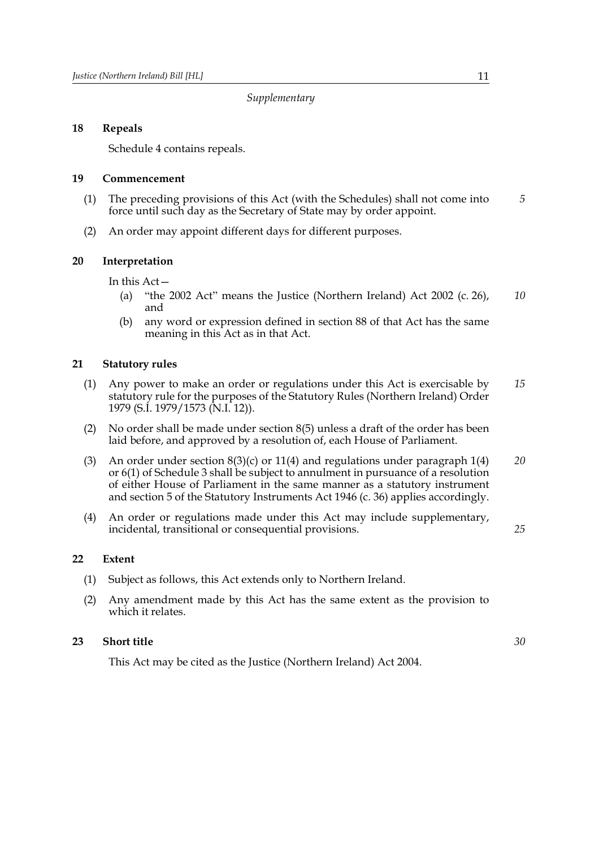*Supplementary*

# **18 Repeals**

Schedule 4 contains repeals.

# **19 Commencement**

- (1) The preceding provisions of this Act (with the Schedules) shall not come into force until such day as the Secretary of State may by order appoint. *5*
- (2) An order may appoint different days for different purposes.

# **20 Interpretation**

In this Act—

- (a) "the 2002 Act" means the Justice (Northern Ireland) Act 2002 (c. 26), and *10*
- (b) any word or expression defined in section 88 of that Act has the same meaning in this Act as in that Act.

# **21 Statutory rules**

- (1) Any power to make an order or regulations under this Act is exercisable by statutory rule for the purposes of the Statutory Rules (Northern Ireland) Order 1979 (S.I. 1979/1573 (N.I. 12)). *15*
- (2) No order shall be made under section 8(5) unless a draft of the order has been laid before, and approved by a resolution of, each House of Parliament.
- (3) An order under section  $8(3)(c)$  or 11(4) and regulations under paragraph 1(4) or 6(1) of Schedule 3 shall be subject to annulment in pursuance of a resolution of either House of Parliament in the same manner as a statutory instrument and section 5 of the Statutory Instruments Act 1946 (c. 36) applies accordingly. *20*
- (4) An order or regulations made under this Act may include supplementary, incidental, transitional or consequential provisions.

# **22 Extent**

- (1) Subject as follows, this Act extends only to Northern Ireland.
- (2) Any amendment made by this Act has the same extent as the provision to which it relates.

# **23 Short title**

This Act may be cited as the Justice (Northern Ireland) Act 2004.

*25*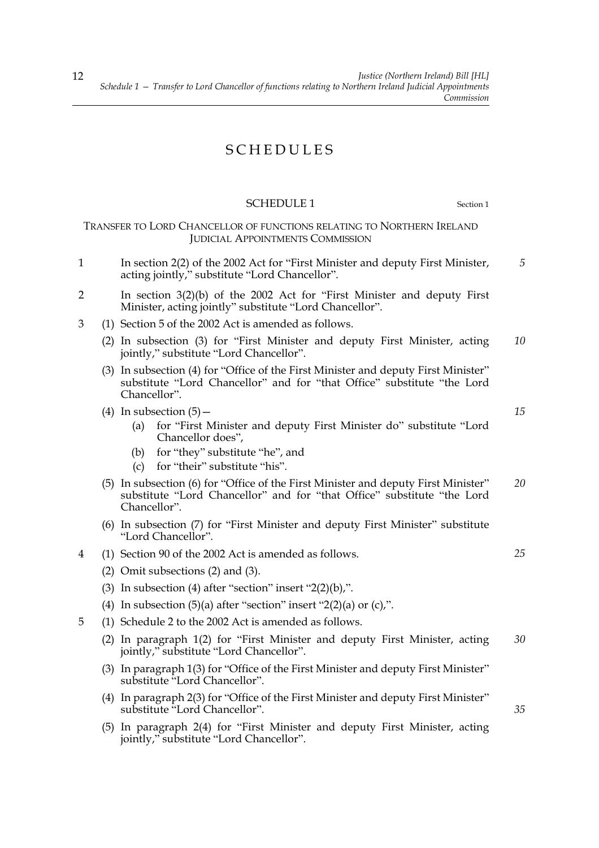# SCHEDULES

#### SCHEDULE 1 Section 1

TRANSFER TO LORD CHANCELLOR OF FUNCTIONS RELATING TO NORTHERN IRELAND JUDICIAL APPOINTMENTS COMMISSION

- 1 In section 2(2) of the 2002 Act for "First Minister and deputy First Minister, acting jointly," substitute "Lord Chancellor".
- 2 In section 3(2)(b) of the 2002 Act for "First Minister and deputy First Minister, acting jointly" substitute "Lord Chancellor".
- 3 (1) Section 5 of the 2002 Act is amended as follows.
	- (2) In subsection (3) for "First Minister and deputy First Minister, acting jointly," substitute "Lord Chancellor". *10*
	- (3) In subsection (4) for "Office of the First Minister and deputy First Minister" substitute "Lord Chancellor" and for "that Office" substitute "the Lord Chancellor".
	- (4) In subsection  $(5)$  -
		- (a) for "First Minister and deputy First Minister do" substitute "Lord Chancellor does",
		- (b) for "they" substitute "he", and
		- (c) for "their" substitute "his".
	- (5) In subsection (6) for "Office of the First Minister and deputy First Minister" substitute "Lord Chancellor" and for "that Office" substitute "the Lord Chancellor". *20*
	- (6) In subsection (7) for "First Minister and deputy First Minister" substitute "Lord Chancellor".
- 4 (1) Section 90 of the 2002 Act is amended as follows.
	- (2) Omit subsections (2) and (3).
	- (3) In subsection (4) after "section" insert "2(2)(b),".
	- (4) In subsection  $(5)(a)$  after "section" insert "2(2)(a) or (c),".
- 5 (1) Schedule 2 to the 2002 Act is amended as follows.
	- (2) In paragraph 1(2) for "First Minister and deputy First Minister, acting jointly," substitute "Lord Chancellor". *30*
	- (3) In paragraph 1(3) for "Office of the First Minister and deputy First Minister" substitute "Lord Chancellor".
	- (4) In paragraph 2(3) for "Office of the First Minister and deputy First Minister" substitute "Lord Chancellor".
	- (5) In paragraph 2(4) for "First Minister and deputy First Minister, acting jointly," substitute "Lord Chancellor".

*15*

*5*

*25*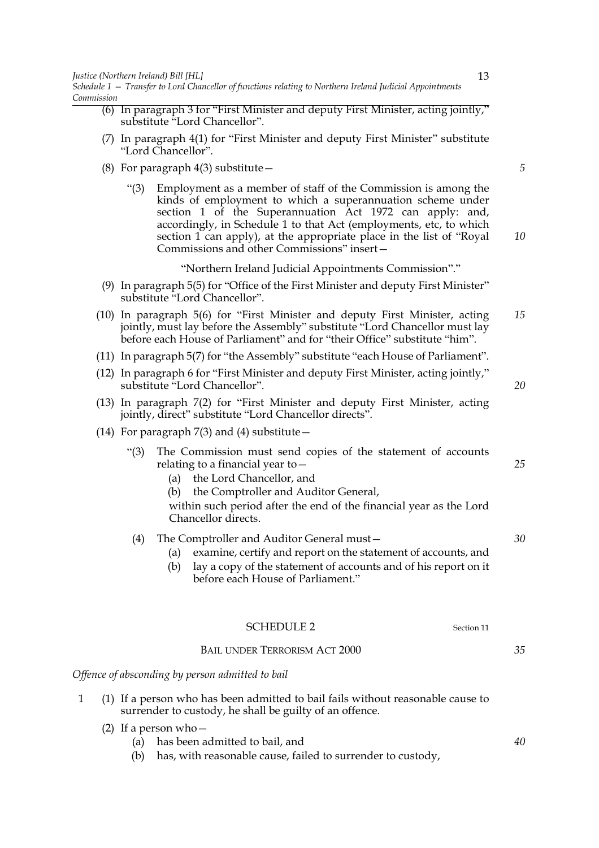- (6) In paragraph 3 for "First Minister and deputy First Minister, acting jointly," substitute "Lord Chancellor".
- (7) In paragraph 4(1) for "First Minister and deputy First Minister" substitute "Lord Chancellor".
- (8) For paragraph  $4(3)$  substitute  $-$ 
	- "(3) Employment as a member of staff of the Commission is among the kinds of employment to which a superannuation scheme under section 1 of the Superannuation Act 1972 can apply: and, accordingly, in Schedule 1 to that Act (employments, etc, to which section 1 can apply), at the appropriate place in the list of "Royal Commissions and other Commissions" insert—

"Northern Ireland Judicial Appointments Commission"."

- (9) In paragraph 5(5) for "Office of the First Minister and deputy First Minister" substitute "Lord Chancellor".
- (10) In paragraph 5(6) for "First Minister and deputy First Minister, acting jointly, must lay before the Assembly" substitute "Lord Chancellor must lay before each House of Parliament" and for "their Office" substitute "him". *15*
- (11) In paragraph 5(7) for "the Assembly" substitute "each House of Parliament".
- (12) In paragraph 6 for "First Minister and deputy First Minister, acting jointly," substitute "Lord Chancellor".
- (13) In paragraph 7(2) for "First Minister and deputy First Minister, acting jointly, direct" substitute "Lord Chancellor directs".
- (14) For paragraph  $7(3)$  and (4) substitute  $-$ 
	- "(3) The Commission must send copies of the statement of accounts relating to a financial year to—
		- (a) the Lord Chancellor, and
		- (b) the Comptroller and Auditor General,
		- within such period after the end of the financial year as the Lord Chancellor directs.

# (4) The Comptroller and Auditor General must—

- (a) examine, certify and report on the statement of accounts, and
- (b) lay a copy of the statement of accounts and of his report on it before each House of Parliament."

| <b>SCHEDULE 2</b> | Section 11 |
|-------------------|------------|
|-------------------|------------|

### BAIL UNDER TERRORISM ACT 2000

*Offence of absconding by person admitted to bail*

- 1 (1) If a person who has been admitted to bail fails without reasonable cause to surrender to custody, he shall be guilty of an offence.
	- (2) If a person who—
		- (a) has been admitted to bail, and
		- (b) has, with reasonable cause, failed to surrender to custody,

*35*

13

*5*

*10*

*20*

*25*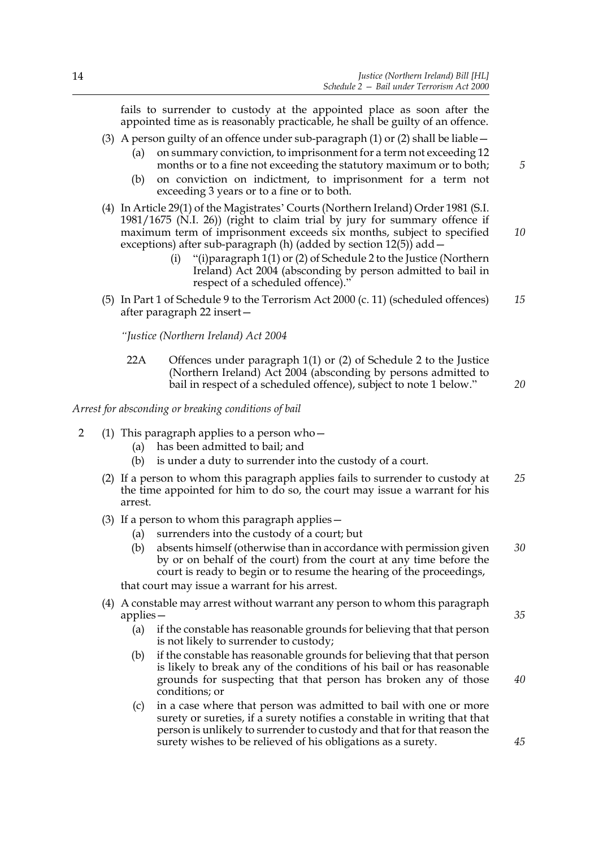fails to surrender to custody at the appointed place as soon after the appointed time as is reasonably practicable, he shall be guilty of an offence.

- (3) A person guilty of an offence under sub-paragraph (1) or (2) shall be liable  $-$ 
	- (a) on summary conviction, to imprisonment for a term not exceeding 12 months or to a fine not exceeding the statutory maximum or to both;
	- (b) on conviction on indictment, to imprisonment for a term not exceeding 3 years or to a fine or to both.
- (4) In Article 29(1) of the Magistrates' Courts (Northern Ireland) Order 1981 (S.I. 1981/1675 (N.I. 26)) (right to claim trial by jury for summary offence if maximum term of imprisonment exceeds six months, subject to specified exceptions) after sub-paragraph (h) (added by section  $12(5)$ ) add  $-$ *10*
	- (i) "(i)paragraph 1(1) or (2) of Schedule 2 to the Justice (Northern Ireland) Act 2004 (absconding by person admitted to bail in respect of a scheduled offence)."
- (5) In Part 1 of Schedule 9 to the Terrorism Act 2000 (c. 11) (scheduled offences) after paragraph 22 insert— *15*

*"Justice (Northern Ireland) Act 2004*

22A Offences under paragraph 1(1) or (2) of Schedule 2 to the Justice (Northern Ireland) Act 2004 (absconding by persons admitted to bail in respect of a scheduled offence), subject to note 1 below."

*Arrest for absconding or breaking conditions of bail*

- 2 (1) This paragraph applies to a person who—
	- (a) has been admitted to bail; and
	- (b) is under a duty to surrender into the custody of a court.
	- (2) If a person to whom this paragraph applies fails to surrender to custody at the time appointed for him to do so, the court may issue a warrant for his arrest. *25*
	- (3) If a person to whom this paragraph applies—
		- (a) surrenders into the custody of a court; but
		- (b) absents himself (otherwise than in accordance with permission given by or on behalf of the court) from the court at any time before the court is ready to begin or to resume the hearing of the proceedings, *30*

that court may issue a warrant for his arrest.

- (4) A constable may arrest without warrant any person to whom this paragraph applies—
	- (a) if the constable has reasonable grounds for believing that that person is not likely to surrender to custody;
	- (b) if the constable has reasonable grounds for believing that that person is likely to break any of the conditions of his bail or has reasonable grounds for suspecting that that person has broken any of those conditions; or
	- (c) in a case where that person was admitted to bail with one or more surety or sureties, if a surety notifies a constable in writing that that person is unlikely to surrender to custody and that for that reason the surety wishes to be relieved of his obligations as a surety.

*35*

*20*

*5*

*45*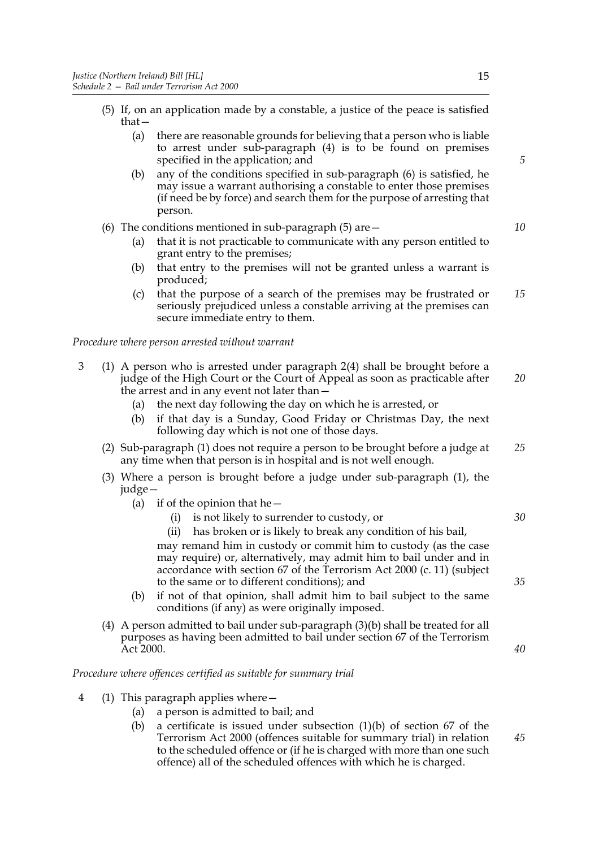- (5) If, on an application made by a constable, a justice of the peace is satisfied that—
	- (a) there are reasonable grounds for believing that a person who is liable to arrest under sub-paragraph (4) is to be found on premises specified in the application; and
	- (b) any of the conditions specified in sub-paragraph (6) is satisfied, he may issue a warrant authorising a constable to enter those premises (if need be by force) and search them for the purpose of arresting that person.
- (6) The conditions mentioned in sub-paragraph  $(5)$  are  $-$ 
	- (a) that it is not practicable to communicate with any person entitled to grant entry to the premises;
	- (b) that entry to the premises will not be granted unless a warrant is produced;
	- (c) that the purpose of a search of the premises may be frustrated or seriously prejudiced unless a constable arriving at the premises can secure immediate entry to them. *15*

*Procedure where person arrested without warrant*

- 3 (1) A person who is arrested under paragraph 2(4) shall be brought before a judge of the High Court or the Court of Appeal as soon as practicable after the arrest and in any event not later than— *20*
	- (a) the next day following the day on which he is arrested, or
	- (b) if that day is a Sunday, Good Friday or Christmas Day, the next following day which is not one of those days.
	- (2) Sub-paragraph (1) does not require a person to be brought before a judge at any time when that person is in hospital and is not well enough. *25*
	- (3) Where a person is brought before a judge under sub-paragraph (1), the judge—
		- (a) if of the opinion that he  $-$ 
			- (i) is not likely to surrender to custody, or
			- (ii) has broken or is likely to break any condition of his bail, may remand him in custody or commit him to custody (as the case may require) or, alternatively, may admit him to bail under and in accordance with section 67 of the Terrorism Act 2000 (c. 11) (subject to the same or to different conditions); and
		- (b) if not of that opinion, shall admit him to bail subject to the same conditions (if any) as were originally imposed.
	- (4) A person admitted to bail under sub-paragraph (3)(b) shall be treated for all purposes as having been admitted to bail under section 67 of the Terrorism Act 2000.

#### *Procedure where offences certified as suitable for summary trial*

- 4 (1) This paragraph applies where—
	- (a) a person is admitted to bail; and
	- (b) a certificate is issued under subsection (1)(b) of section 67 of the Terrorism Act 2000 (offences suitable for summary trial) in relation to the scheduled offence or (if he is charged with more than one such offence) all of the scheduled offences with which he is charged.

*5*

*10*

*35*

*30*

*40*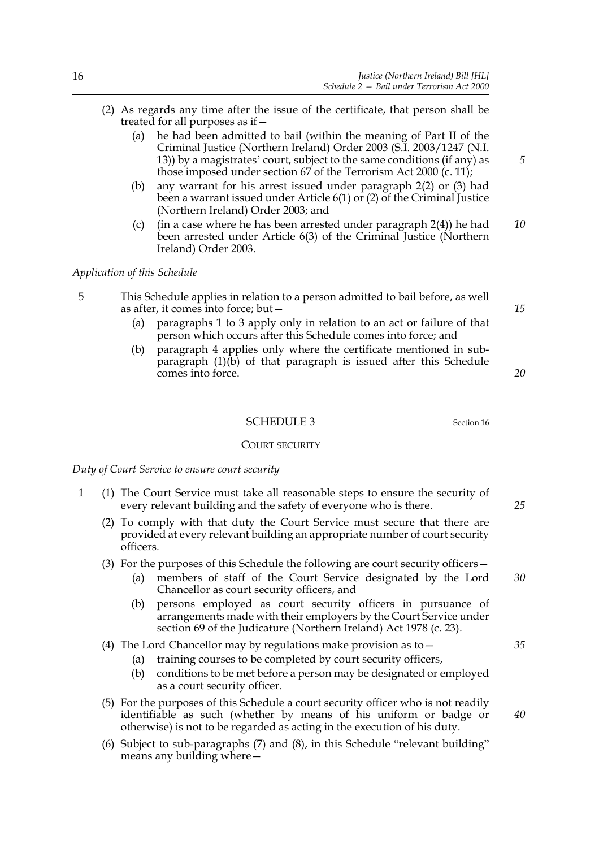- (2) As regards any time after the issue of the certificate, that person shall be treated for all purposes as if—
	- (a) he had been admitted to bail (within the meaning of Part II of the Criminal Justice (Northern Ireland) Order 2003 (S.I. 2003/1247 (N.I. 13)) by a magistrates' court, subject to the same conditions (if any) as those imposed under section 67 of the Terrorism Act 2000 (c. 11);
	- (b) any warrant for his arrest issued under paragraph 2(2) or (3) had been a warrant issued under Article 6(1) or (2) of the Criminal Justice (Northern Ireland) Order 2003; and
	- (c) (in a case where he has been arrested under paragraph 2(4)) he had been arrested under Article 6(3) of the Criminal Justice (Northern Ireland) Order 2003. *10*

*Application of this Schedule*

- 5 This Schedule applies in relation to a person admitted to bail before, as well as after, it comes into force; but—
	- (a) paragraphs 1 to 3 apply only in relation to an act or failure of that person which occurs after this Schedule comes into force; and
	- (b) paragraph 4 applies only where the certificate mentioned in subparagraph (1)(b) of that paragraph is issued after this Schedule comes into force.

#### SCHEDULE 3 Section 16

#### COURT SECURITY

*Duty of Court Service to ensure court security*

- 1 (1) The Court Service must take all reasonable steps to ensure the security of every relevant building and the safety of everyone who is there.
	- (2) To comply with that duty the Court Service must secure that there are provided at every relevant building an appropriate number of court security officers.
	- (3) For the purposes of this Schedule the following are court security officers—
		- (a) members of staff of the Court Service designated by the Lord Chancellor as court security officers, and
		- (b) persons employed as court security officers in pursuance of arrangements made with their employers by the Court Service under section 69 of the Judicature (Northern Ireland) Act 1978 (c. 23).
	- (4) The Lord Chancellor may by regulations make provision as to—
		- (a) training courses to be completed by court security officers,
		- (b) conditions to be met before a person may be designated or employed as a court security officer.
	- (5) For the purposes of this Schedule a court security officer who is not readily identifiable as such (whether by means of his uniform or badge or otherwise) is not to be regarded as acting in the execution of his duty.
	- (6) Subject to sub-paragraphs (7) and (8), in this Schedule "relevant building" means any building where—

*15*

*20*

*5*

*25*

*35*

*40*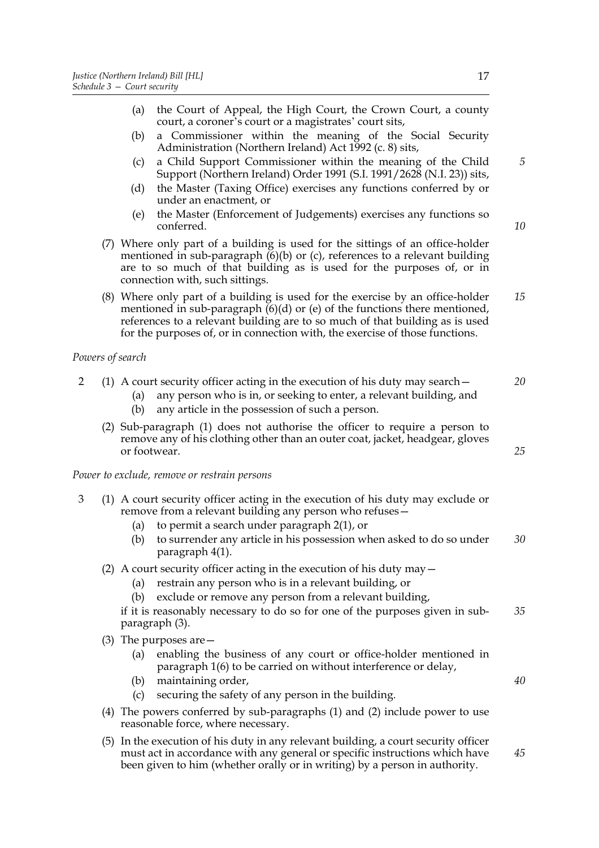- (b) a Commissioner within the meaning of the Social Security Administration (Northern Ireland) Act 1992 (c. 8) sits,
- (c) a Child Support Commissioner within the meaning of the Child Support (Northern Ireland) Order 1991 (S.I. 1991/2628 (N.I. 23)) sits,
- (d) the Master (Taxing Office) exercises any functions conferred by or under an enactment, or
- (e) the Master (Enforcement of Judgements) exercises any functions so conferred.
- (7) Where only part of a building is used for the sittings of an office-holder mentioned in sub-paragraph  $(6)(b)$  or  $(c)$ , references to a relevant building are to so much of that building as is used for the purposes of, or in connection with, such sittings.
- (8) Where only part of a building is used for the exercise by an office-holder mentioned in sub-paragraph  $(6)(d)$  or (e) of the functions there mentioned, references to a relevant building are to so much of that building as is used for the purposes of, or in connection with, the exercise of those functions. *15*

# *Powers of search*

|  |  |  |  | (1) A court security officer acting in the execution of his duty may search $-$ |  |  | 20 |
|--|--|--|--|---------------------------------------------------------------------------------|--|--|----|
|--|--|--|--|---------------------------------------------------------------------------------|--|--|----|

- (a) any person who is in, or seeking to enter, a relevant building, and
- (b) any article in the possession of such a person.
- (2) Sub-paragraph (1) does not authorise the officer to require a person to remove any of his clothing other than an outer coat, jacket, headgear, gloves or footwear.

*Power to exclude, remove or restrain persons*

- 3 (1) A court security officer acting in the execution of his duty may exclude or remove from a relevant building any person who refuses—
	- (a) to permit a search under paragraph 2(1), or
	- (b) to surrender any article in his possession when asked to do so under paragraph 4(1). *30*
	- (2) A court security officer acting in the execution of his duty may—
		- (a) restrain any person who is in a relevant building, or
		- (b) exclude or remove any person from a relevant building,

if it is reasonably necessary to do so for one of the purposes given in subparagraph (3). *35*

- (3) The purposes are—
	- (a) enabling the business of any court or office-holder mentioned in paragraph 1(6) to be carried on without interference or delay,
	- (b) maintaining order,
	- (c) securing the safety of any person in the building.
- (4) The powers conferred by sub-paragraphs (1) and (2) include power to use reasonable force, where necessary.
- (5) In the execution of his duty in any relevant building, a court security officer must act in accordance with any general or specific instructions which have been given to him (whether orally or in writing) by a person in authority. *45*

*5*

*10*

*25*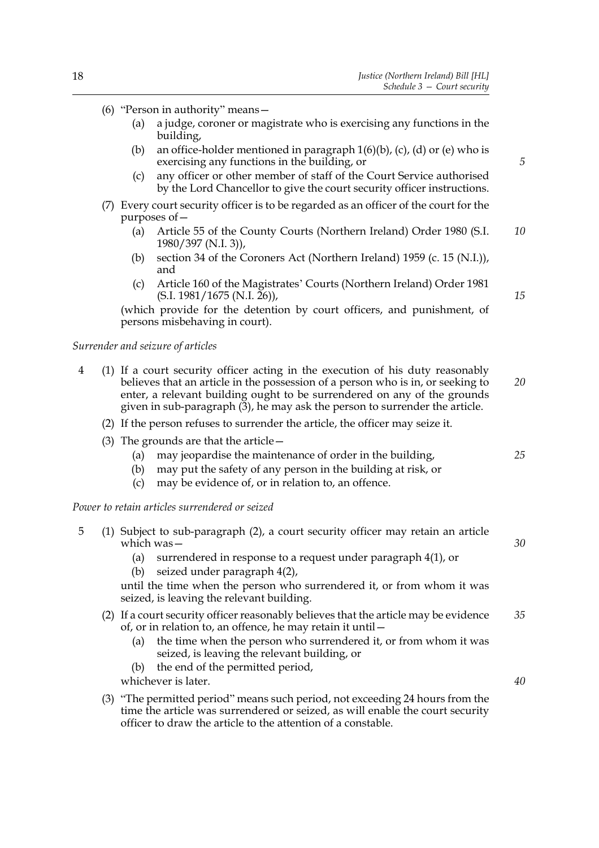- (6) "Person in authority" means—
	- (a) a judge, coroner or magistrate who is exercising any functions in the building,
	- (b) an office-holder mentioned in paragraph  $1(6)(b)$ , (c), (d) or (e) who is exercising any functions in the building, or
	- (c) any officer or other member of staff of the Court Service authorised by the Lord Chancellor to give the court security officer instructions.
- (7) Every court security officer is to be regarded as an officer of the court for the purposes of—
	- (a) Article 55 of the County Courts (Northern Ireland) Order 1980 (S.I. 1980/397 (N.I. 3)), *10*
	- (b) section 34 of the Coroners Act (Northern Ireland) 1959 (c. 15 (N.I.)), and
	- (c) Article 160 of the Magistrates' Courts (Northern Ireland) Order 1981  $(S.I. 1981/1675 (N.I. 26)),$

(which provide for the detention by court officers, and punishment, of persons misbehaving in court).

#### *Surrender and seizure of articles*

- 4 (1) If a court security officer acting in the execution of his duty reasonably believes that an article in the possession of a person who is in, or seeking to enter, a relevant building ought to be surrendered on any of the grounds given in sub-paragraph  $(\overline{3})$ , he may ask the person to surrender the article. *20*
	- (2) If the person refuses to surrender the article, the officer may seize it.
	- (3) The grounds are that the article—
		- (a) may jeopardise the maintenance of order in the building,
		- (b) may put the safety of any person in the building at risk, or
		- (c) may be evidence of, or in relation to, an offence.

*Power to retain articles surrendered or seized*

5 (1) Subject to sub-paragraph (2), a court security officer may retain an article which was— (a) surrendered in response to a request under paragraph 4(1), or (b) seized under paragraph 4(2), *30*

until the time when the person who surrendered it, or from whom it was seized, is leaving the relevant building.

- (2) If a court security officer reasonably believes that the article may be evidence of, or in relation to, an offence, he may retain it until— *35*
	- the time when the person who surrendered it, or from whom it was seized, is leaving the relevant building, or
	- (b) the end of the permitted period,

whichever is later.

(3) "The permitted period" means such period, not exceeding 24 hours from the time the article was surrendered or seized, as will enable the court security officer to draw the article to the attention of a constable.

*25*

*40*

*5*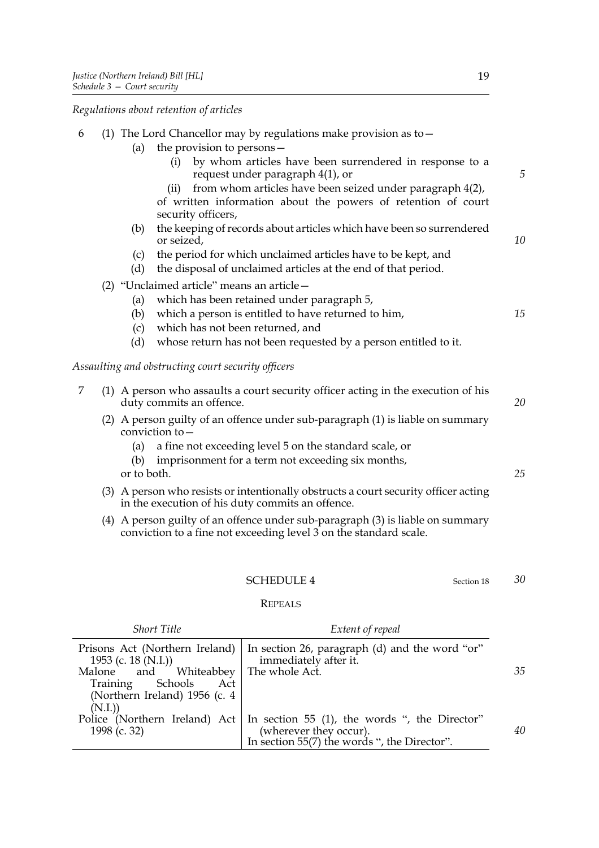*Regulations about retention of articles*

| 6 |                           | (1) The Lord Chancellor may by regulations make provision as to $-$                                                                                      |    |
|---|---------------------------|----------------------------------------------------------------------------------------------------------------------------------------------------------|----|
|   | (a)                       | the provision to persons-                                                                                                                                |    |
|   |                           | by whom articles have been surrendered in response to a<br>(i)<br>request under paragraph 4(1), or                                                       | 5  |
|   |                           | from whom articles have been seized under paragraph 4(2),<br>(ii)<br>of written information about the powers of retention of court<br>security officers, |    |
|   | (b)                       | the keeping of records about articles which have been so surrendered<br>or seized,                                                                       | 10 |
|   | (c)<br>(d)                | the period for which unclaimed articles have to be kept, and<br>the disposal of unclaimed articles at the end of that period.                            |    |
|   |                           | (2) "Unclaimed article" means an article -                                                                                                               |    |
|   | (a)                       | which has been retained under paragraph 5,                                                                                                               |    |
|   | (b)                       | which a person is entitled to have returned to him,                                                                                                      | 15 |
|   | (c)                       | which has not been returned, and                                                                                                                         |    |
|   | (d)                       | whose return has not been requested by a person entitled to it.                                                                                          |    |
|   |                           | Assaulting and obstructing court security officers                                                                                                       |    |
| 7 |                           | (1) A person who assaults a court security officer acting in the execution of his<br>duty commits an offence.                                            | 20 |
|   | conviction to -           | (2) A person guilty of an offence under sub-paragraph (1) is liable on summary                                                                           |    |
|   | (a)<br>(b)<br>or to both. | a fine not exceeding level 5 on the standard scale, or<br>imprisonment for a term not exceeding six months,                                              | 25 |
|   |                           | (3) A person who resists or intentionally obstructs a court security officer acting<br>in the execution of his duty commits an offence.                  |    |
|   |                           | (4) A person guilty of an offence under sub-paragraph (3) is liable on summary<br>conviction to a fine not exceeding level 3 on the standard scale.      |    |
|   |                           |                                                                                                                                                          |    |

# SCHEDULE 4 Section 18

# REPEALS

| <b>Short Title</b>                                               | Extent of repeal                                                                                                                                        |    |
|------------------------------------------------------------------|---------------------------------------------------------------------------------------------------------------------------------------------------------|----|
| 1953 (c. 18 (N.I.))                                              | Prisons Act (Northern Ireland)   In section 26, paragraph (d) and the word "or"<br>immediately after it.                                                |    |
| Malone and Whiteabbey The whole Act.                             |                                                                                                                                                         | 35 |
| Training Schools Act<br>(Northern Ireland) 1956 (c. 4)<br>(N.I.) |                                                                                                                                                         |    |
| 1998 (c. 32)                                                     | Police (Northern Ireland) Act   In section 55 (1), the words ", the Director"<br>(wherever they occur).<br>In section 55(7) the words ", the Director". | 40 |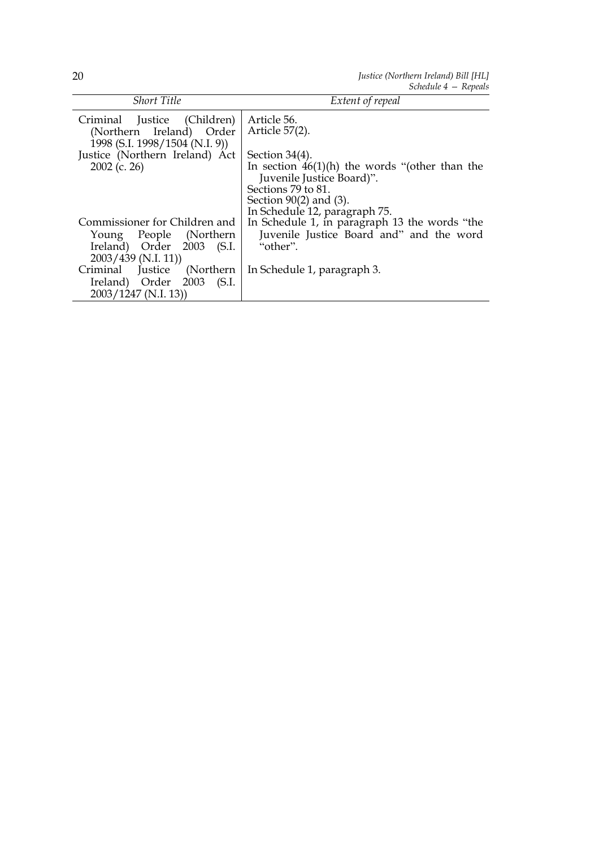*Justice (Northern Ireland) Bill [HL] Schedule 4 — Repeals*

|                                                         | $S$ Cheulte $4 - R$ epellis                      |
|---------------------------------------------------------|--------------------------------------------------|
| <b>Short Title</b>                                      | Extent of repeal                                 |
| Criminal Justice (Children)<br>(Northern Ireland) Order | Article 56.<br>Article 57(2).                    |
| 1998 (S.I. 1998/1504 (N.I. 9))                          |                                                  |
| Justice (Northern Ireland) Act                          | Section $34(4)$ .                                |
| $2002$ (c. 26)                                          | In section $46(1)(h)$ the words "(other than the |
|                                                         | Juvenile Justice Board)".                        |
|                                                         | Sections 79 to 81.                               |
|                                                         | Section $90(2)$ and $(3)$ .                      |
|                                                         | In Schedule 12, paragraph 75.                    |
| Commissioner for Children and                           | In Schedule 1, in paragraph 13 the words "the    |
| Young People (Northern                                  | Juvenile Justice Board and" and the word         |
| Ireland) Order 2003 (S.I.                               | "other".                                         |
| $2003/439$ (N.I. 11))                                   |                                                  |
| Criminal Justice (Northern                              | In Schedule 1, paragraph 3.                      |
| Ireland) Order 2003 (S.I.                               |                                                  |
| $2003/1247$ (N.I. 13))                                  |                                                  |
|                                                         |                                                  |